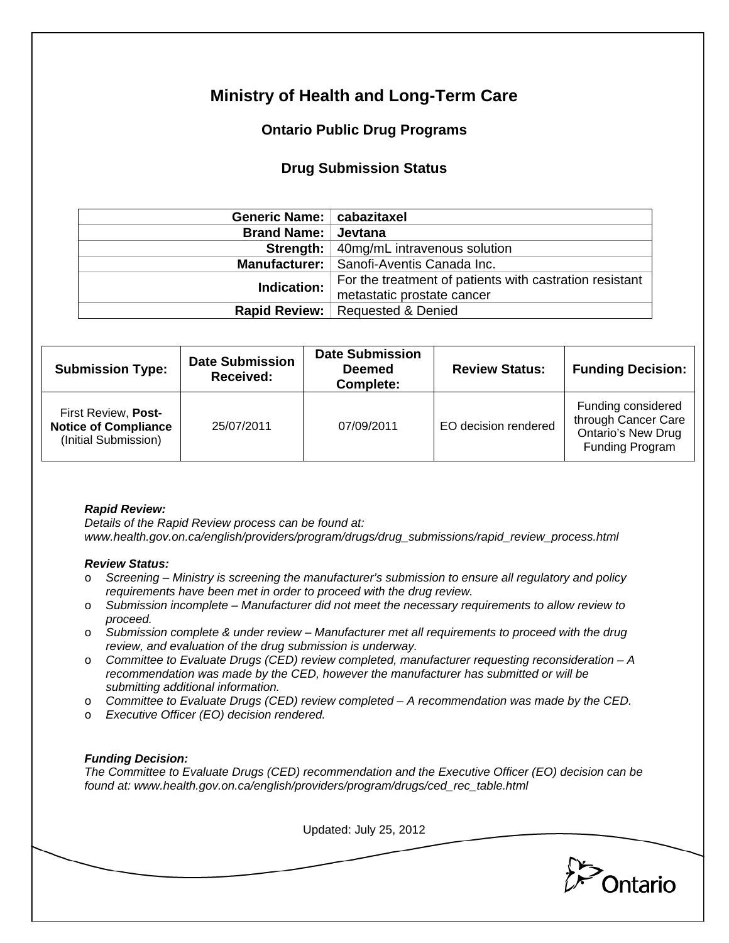# **Ministry of Health and Long-Term Care**

## **Ontario Public Drug Programs**

### **Drug Submission Status**

| Generic Name:   cabazitaxel |                                                         |  |  |
|-----------------------------|---------------------------------------------------------|--|--|
| Brand Name: Jevtana         |                                                         |  |  |
|                             | <b>Strength:</b> 40mg/mL intravenous solution           |  |  |
|                             | Manufacturer:   Sanofi-Aventis Canada Inc.              |  |  |
| Indication:                 | For the treatment of patients with castration resistant |  |  |
|                             | metastatic prostate cancer                              |  |  |
|                             | Rapid Review:   Requested & Denied                      |  |  |

| <b>Submission Type:</b>                                                    | <b>Date Submission</b><br>Received: | <b>Date Submission</b><br><b>Deemed</b><br>Complete: | <b>Review Status:</b> | <b>Funding Decision:</b>                                                                  |
|----------------------------------------------------------------------------|-------------------------------------|------------------------------------------------------|-----------------------|-------------------------------------------------------------------------------------------|
| First Review, Post-<br><b>Notice of Compliance</b><br>(Initial Submission) | 25/07/2011                          | 07/09/2011                                           | EO decision rendered  | Funding considered<br>through Cancer Care<br><b>Ontario's New Drug</b><br>Funding Program |

#### *Rapid Review:*

*Details of the Rapid Review process can be found at: www.health.gov.on.ca/english/providers/program/drugs/drug\_submissions/rapid\_review\_process.html* 

#### *Review Status:*

- o *Screening Ministry is screening the manufacturer's submission to ensure all regulatory and policy requirements have been met in order to proceed with the drug review.*
- o *Submission incomplete Manufacturer did not meet the necessary requirements to allow review to proceed.*
- o *Submission complete & under review Manufacturer met all requirements to proceed with the drug review, and evaluation of the drug submission is underway.*
- o *Committee to Evaluate Drugs (CED) review completed, manufacturer requesting reconsideration A recommendation was made by the CED, however the manufacturer has submitted or will be submitting additional information.*
- o *Committee to Evaluate Drugs (CED) review completed A recommendation was made by the CED.*
- o *Executive Officer (EO) decision rendered.*

#### *Funding Decision:*

*The Committee to Evaluate Drugs (CED) recommendation and the Executive Officer (EO) decision can be found at: www.health.gov.on.ca/english/providers/program/drugs/ced\_rec\_table.html* 

Updated: July 25, 2012